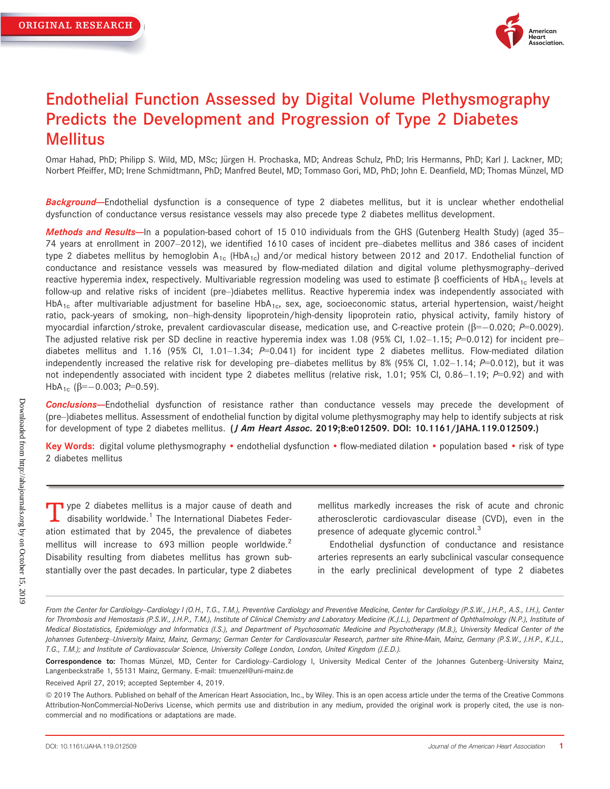

# Endothelial Function Assessed by Digital Volume Plethysmography Predicts the Development and Progression of Type 2 Diabetes Mellitus

Omar Hahad, PhD; Philipp S. Wild, MD, MSc; Jürgen H. Prochaska, MD; Andreas Schulz, PhD; Iris Hermanns, PhD; Karl J. Lackner, MD; Norbert Pfeiffer, MD; Irene Schmidtmann, PhD; Manfred Beutel, MD; Tommaso Gori, MD, PhD; John E. Deanfield, MD; Thomas Münzel, MD

Background-Endothelial dysfunction is a consequence of type 2 diabetes mellitus, but it is unclear whether endothelial dysfunction of conductance versus resistance vessels may also precede type 2 diabetes mellitus development.

Methods and Results-In a population-based cohort of 15 010 individuals from the GHS (Gutenberg Health Study) (aged 35-74 years at enrollment in 2007–2012), we identified 1610 cases of incident pre–diabetes mellitus and 386 cases of incident type 2 diabetes mellitus by hemoglobin  $A_{1c}$  (HbA<sub>1c</sub>) and/or medical history between 2012 and 2017. Endothelial function of conductance and resistance vessels was measured by flow-mediated dilation and digital volume plethysmography–derived reactive hyperemia index, respectively. Multivariable regression modeling was used to estimate  $\beta$  coefficients of HbA<sub>1c</sub> levels at follow-up and relative risks of incident (pre–)diabetes mellitus. Reactive hyperemia index was independently associated with HbA<sub>1c</sub> after multivariable adjustment for baseline HbA<sub>1c</sub>, sex, age, socioeconomic status, arterial hypertension, waist/height ratio, pack-years of smoking, non–high-density lipoprotein/high-density lipoprotein ratio, physical activity, family history of myocardial infarction/stroke, prevalent cardiovascular disease, medication use, and C-reactive protein ( $\beta = -0.020$ ;  $P = 0.0029$ ). The adjusted relative risk per SD decline in reactive hyperemia index was 1.08 (95% CI, 1.02–1.15;  $P=0.012$ ) for incident pre– diabetes mellitus and 1.16 (95% Cl, 1.01–1.34;  $P=0.041$ ) for incident type 2 diabetes mellitus. Flow-mediated dilation independently increased the relative risk for developing pre–diabetes mellitus by 8% (95% Cl, 1.02–1.14;  $P=0.012$ ), but it was not independently associated with incident type 2 diabetes mellitus (relative risk, 1.01; 95% CI, 0.86–1.19;  $P=0.92$ ) and with HbA<sub>1c</sub> ( $\beta$ =-0.003; P=0.59).

Conclusions--Endothelial dysfunction of resistance rather than conductance vessels may precede the development of (pre–)diabetes mellitus. Assessment of endothelial function by digital volume plethysmography may help to identify subjects at risk for development of type 2 diabetes mellitus. (*J Am Heart Assoc.* 2019;8:e012509. DOI: [10.1161/JAHA.119.012509](info:doi/10.1161/JAHA.119.012509).)

Key Words: digital volume plethysmography • endothelial dysfunction • flow-mediated dilation • population based • risk of type 2 diabetes mellitus

 $\blacksquare$  ype 2 diabetes mellitus is a major cause of death and  $\blacktriangle$  disability worldwide.<sup>1</sup> The International Diabetes Federation estimated that by 2045, the prevalence of diabetes mellitus will increase to 693 million people worldwide. $2$ Disability resulting from diabetes mellitus has grown substantially over the past decades. In particular, type 2 diabetes mellitus markedly increases the risk of acute and chronic atherosclerotic cardiovascular disease (CVD), even in the presence of adequate glycemic control.<sup>3</sup>

Endothelial dysfunction of conductance and resistance arteries represents an early subclinical vascular consequence in the early preclinical development of type 2 diabetes

Received April 27, 2019; accepted September 4, 2019.

From the Center for Cardiology-Cardiology I (O.H., T.G., T.M.), Preventive Cardiology and Preventive Medicine, Center for Cardiology (P.S.W., J.H.P., A.S., I.H.), Center for Thrombosis and Hemostasis (P.S.W., J.H.P., T.M.), Institute of Clinical Chemistry and Laboratory Medicine (K.J.L.), Department of Ophthalmology (N.P.), Institute of Medical Biostatistics, Epidemiology and Informatics (I.S.), and Department of Psychosomatic Medicine and Psychotherapy (M.B.), University Medical Center of the Johannes Gutenberg–University Mainz, Mainz, Germany; German Center for Cardiovascular Research, partner site Rhine-Main, Mainz, Germany (P.S.W., J.H.P., K.J.L., T.G., T.M.); and Institute of Cardiovascular Science, University College London, London, United Kingdom (J.E.D.).

Correspondence to: Thomas Münzel, MD, Center for Cardiology–Cardiology I, University Medical Center of the Johannes Gutenberg–University Mainz, Langenbeckstraße 1, 55131 Mainz, Germany. E-mail: [tmuenzel@uni-mainz.de](mailto:tmuenzel@uni-mainz.de)

ª 2019 The Authors. Published on behalf of the American Heart Association, Inc., by Wiley. This is an open access article under the terms of the [Creative Commons](http://creativecommons.org/licenses/by-nc-nd/4.0/) [Attribution-NonCommercial-NoDerivs](http://creativecommons.org/licenses/by-nc-nd/4.0/) License, which permits use and distribution in any medium, provided the original work is properly cited, the use is noncommercial and no modifications or adaptations are made.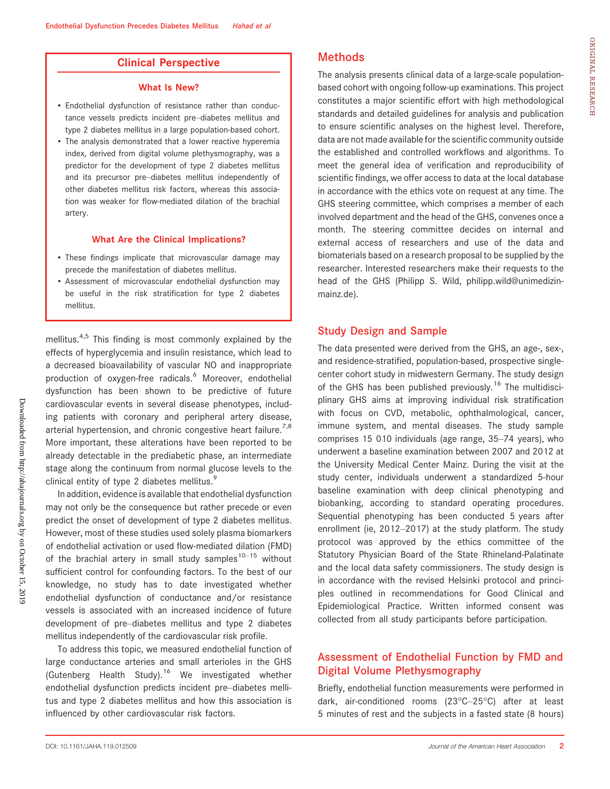### Clinical Perspective

#### What Is New?

- Endothelial dysfunction of resistance rather than conductance vessels predicts incident pre–diabetes mellitus and type 2 diabetes mellitus in a large population-based cohort.
- The analysis demonstrated that a lower reactive hyperemia index, derived from digital volume plethysmography, was a predictor for the development of type 2 diabetes mellitus and its precursor pre–diabetes mellitus independently of other diabetes mellitus risk factors, whereas this association was weaker for flow-mediated dilation of the brachial artery.

#### What Are the Clinical Implications?

- These findings implicate that microvascular damage may precede the manifestation of diabetes mellitus.
- Assessment of microvascular endothelial dysfunction may be useful in the risk stratification for type 2 diabetes mellitus.

mellitus.<sup>4,5</sup> This finding is most commonly explained by the effects of hyperglycemia and insulin resistance, which lead to a decreased bioavailability of vascular NO and inappropriate production of oxygen-free radicals.<sup>6</sup> Moreover, endothelial dysfunction has been shown to be predictive of future cardiovascular events in several disease phenotypes, including patients with coronary and peripheral artery disease, arterial hypertension, and chronic congestive heart failure.<sup>7,8</sup> More important, these alterations have been reported to be already detectable in the prediabetic phase, an intermediate stage along the continuum from normal glucose levels to the clinical entity of type 2 diabetes mellitus.<sup>9</sup>

In addition, evidence is available that endothelial dysfunction may not only be the consequence but rather precede or even predict the onset of development of type 2 diabetes mellitus. However, most of these studies used solely plasma biomarkers of endothelial activation or used flow-mediated dilation (FMD) of the brachial artery in small study samples<sup>10–15</sup> without sufficient control for confounding factors. To the best of our knowledge, no study has to date investigated whether endothelial dysfunction of conductance and/or resistance vessels is associated with an increased incidence of future development of pre–diabetes mellitus and type 2 diabetes mellitus independently of the cardiovascular risk profile.

To address this topic, we measured endothelial function of large conductance arteries and small arterioles in the GHS (Gutenberg Health Study).<sup>16</sup> We investigated whether endothelial dysfunction predicts incident pre–diabetes mellitus and type 2 diabetes mellitus and how this association is influenced by other cardiovascular risk factors.

# Methods

The analysis presents clinical data of a large-scale populationbased cohort with ongoing follow-up examinations. This project constitutes a major scientific effort with high methodological standards and detailed guidelines for analysis and publication to ensure scientific analyses on the highest level. Therefore, data are not made available for the scientific community outside the established and controlled workflows and algorithms. To meet the general idea of verification and reproducibility of scientific findings, we offer access to data at the local database in accordance with the ethics vote on request at any time. The GHS steering committee, which comprises a member of each involved department and the head of the GHS, convenes once a month. The steering committee decides on internal and external access of researchers and use of the data and biomaterials based on a research proposal to be supplied by the researcher. Interested researchers make their requests to the head of the GHS (Philipp S. Wild, [philipp.wild@unimedizin](mailto:philipp.wild@unimedizin-mainz.de)[mainz.de\)](mailto:philipp.wild@unimedizin-mainz.de).

#### Study Design and Sample

The data presented were derived from the GHS, an age-, sex-, and residence-stratified, population-based, prospective singlecenter cohort study in midwestern Germany. The study design of the GHS has been published previously.<sup>16</sup> The multidisciplinary GHS aims at improving individual risk stratification with focus on CVD, metabolic, ophthalmological, cancer, immune system, and mental diseases. The study sample comprises 15 010 individuals (age range, 35–74 years), who underwent a baseline examination between 2007 and 2012 at the University Medical Center Mainz. During the visit at the study center, individuals underwent a standardized 5-hour baseline examination with deep clinical phenotyping and biobanking, according to standard operating procedures. Sequential phenotyping has been conducted 5 years after enrollment (ie, 2012–2017) at the study platform. The study protocol was approved by the ethics committee of the Statutory Physician Board of the State Rhineland-Palatinate and the local data safety commissioners. The study design is in accordance with the revised Helsinki protocol and principles outlined in recommendations for Good Clinical and Epidemiological Practice. Written informed consent was collected from all study participants before participation.

# Assessment of Endothelial Function by FMD and Digital Volume Plethysmography

Briefly, endothelial function measurements were performed in dark, air-conditioned rooms (23°C–25°C) after at least 5 minutes of rest and the subjects in a fasted state (8 hours)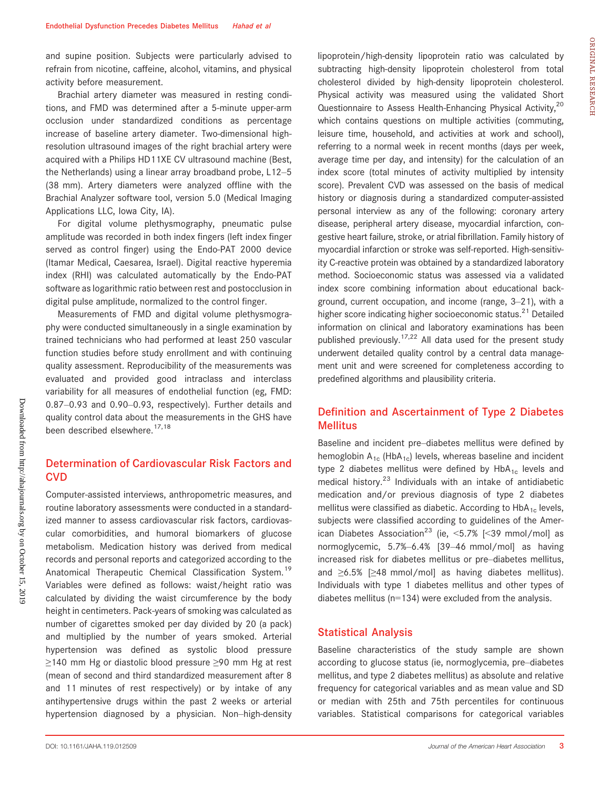and supine position. Subjects were particularly advised to refrain from nicotine, caffeine, alcohol, vitamins, and physical activity before measurement.

Brachial artery diameter was measured in resting conditions, and FMD was determined after a 5-minute upper-arm occlusion under standardized conditions as percentage increase of baseline artery diameter. Two-dimensional highresolution ultrasound images of the right brachial artery were acquired with a Philips HD11XE CV ultrasound machine (Best, the Netherlands) using a linear array broadband probe, L12–5 (38 mm). Artery diameters were analyzed offline with the Brachial Analyzer software tool, version 5.0 (Medical Imaging Applications LLC, Iowa City, IA).

For digital volume plethysmography, pneumatic pulse amplitude was recorded in both index fingers (left index finger served as control finger) using the Endo-PAT 2000 device (Itamar Medical, Caesarea, Israel). Digital reactive hyperemia index (RHI) was calculated automatically by the Endo-PAT software as logarithmic ratio between rest and postocclusion in digital pulse amplitude, normalized to the control finger.

Measurements of FMD and digital volume plethysmography were conducted simultaneously in a single examination by trained technicians who had performed at least 250 vascular function studies before study enrollment and with continuing quality assessment. Reproducibility of the measurements was evaluated and provided good intraclass and interclass variability for all measures of endothelial function (eg, FMD: 0.87–0.93 and 0.90–0.93, respectively). Further details and quality control data about the measurements in the GHS have been described elsewhere.<sup>17,18</sup>

# Determination of Cardiovascular Risk Factors and **CVD**

Computer-assisted interviews, anthropometric measures, and routine laboratory assessments were conducted in a standardized manner to assess cardiovascular risk factors, cardiovascular comorbidities, and humoral biomarkers of glucose metabolism. Medication history was derived from medical records and personal reports and categorized according to the Anatomical Therapeutic Chemical Classification System.<sup>19</sup> Variables were defined as follows: waist/height ratio was calculated by dividing the waist circumference by the body height in centimeters. Pack-years of smoking was calculated as number of cigarettes smoked per day divided by 20 (a pack) and multiplied by the number of years smoked. Arterial hypertension was defined as systolic blood pressure ≥140 mm Hg or diastolic blood pressure ≥90 mm Hg at rest (mean of second and third standardized measurement after 8 and 11 minutes of rest respectively) or by intake of any antihypertensive drugs within the past 2 weeks or arterial hypertension diagnosed by a physician. Non–high-density lipoprotein/high-density lipoprotein ratio was calculated by subtracting high-density lipoprotein cholesterol from total cholesterol divided by high-density lipoprotein cholesterol. Physical activity was measured using the validated Short Questionnaire to Assess Health-Enhancing Physical Activity,<sup>20</sup> which contains questions on multiple activities (commuting, leisure time, household, and activities at work and school), referring to a normal week in recent months (days per week, average time per day, and intensity) for the calculation of an index score (total minutes of activity multiplied by intensity score). Prevalent CVD was assessed on the basis of medical history or diagnosis during a standardized computer-assisted personal interview as any of the following: coronary artery disease, peripheral artery disease, myocardial infarction, congestive heart failure, stroke, or atrial fibrillation. Family history of myocardial infarction or stroke was self-reported. High-sensitivity C-reactive protein was obtained by a standardized laboratory method. Socioeconomic status was assessed via a validated index score combining information about educational background, current occupation, and income (range, 3–21), with a higher score indicating higher socioeconomic status.<sup>21</sup> Detailed information on clinical and laboratory examinations has been published previously.<sup>17,22</sup> All data used for the present study underwent detailed quality control by a central data management unit and were screened for completeness according to predefined algorithms and plausibility criteria.

# Definition and Ascertainment of Type 2 Diabetes Mellitus

Baseline and incident pre–diabetes mellitus were defined by hemoglobin  $A_{1c}$  (HbA<sub>1c</sub>) levels, whereas baseline and incident type 2 diabetes mellitus were defined by  $HbA_{1c}$  levels and medical history.<sup>23</sup> Individuals with an intake of antidiabetic medication and/or previous diagnosis of type 2 diabetes mellitus were classified as diabetic. According to  $HbA_{1c}$  levels, subjects were classified according to guidelines of the American Diabetes Association<sup>23</sup> (ie, <5.7% [<39 mmol/mol] as normoglycemic, 5.7%–6.4% [39–46 mmol/mol] as having increased risk for diabetes mellitus or pre–diabetes mellitus, and ≥6.5% [≥48 mmol/mol] as having diabetes mellitus). Individuals with type 1 diabetes mellitus and other types of diabetes mellitus (n=134) were excluded from the analysis.

### Statistical Analysis

Baseline characteristics of the study sample are shown according to glucose status (ie, normoglycemia, pre–diabetes mellitus, and type 2 diabetes mellitus) as absolute and relative frequency for categorical variables and as mean value and SD or median with 25th and 75th percentiles for continuous variables. Statistical comparisons for categorical variables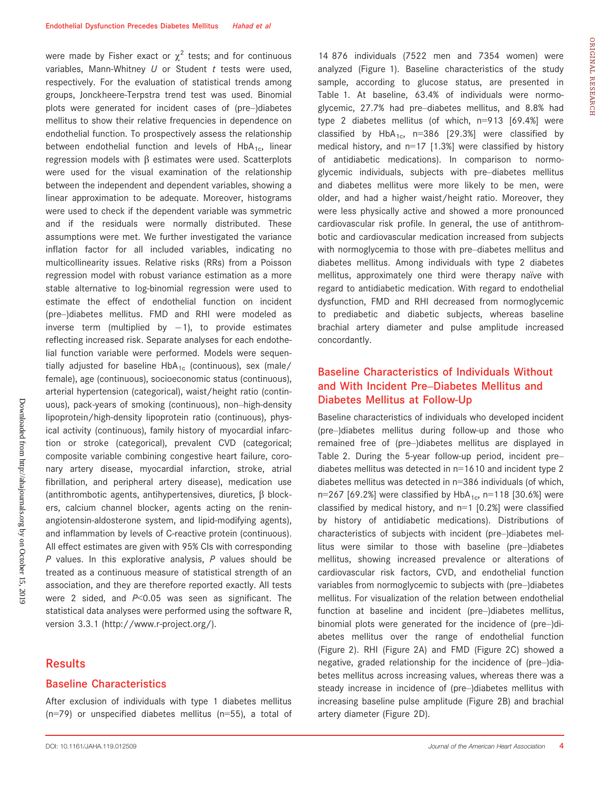were made by Fisher exact or  $\chi^2$  tests; and for continuous variables, Mann-Whitney  $U$  or Student  $t$  tests were used, respectively. For the evaluation of statistical trends among groups, Jonckheere-Terpstra trend test was used. Binomial plots were generated for incident cases of (pre–)diabetes mellitus to show their relative frequencies in dependence on endothelial function. To prospectively assess the relationship between endothelial function and levels of  $HbA_{1c}$ , linear regression models with  $\beta$  estimates were used. Scatterplots were used for the visual examination of the relationship between the independent and dependent variables, showing a linear approximation to be adequate. Moreover, histograms were used to check if the dependent variable was symmetric and if the residuals were normally distributed. These assumptions were met. We further investigated the variance inflation factor for all included variables, indicating no multicollinearity issues. Relative risks (RRs) from a Poisson regression model with robust variance estimation as a more stable alternative to log-binomial regression were used to estimate the effect of endothelial function on incident (pre–)diabetes mellitus. FMD and RHI were modeled as inverse term (multiplied by  $-1$ ), to provide estimates reflecting increased risk. Separate analyses for each endothelial function variable were performed. Models were sequentially adjusted for baseline HbA<sub>1c</sub> (continuous), sex (male/ female), age (continuous), socioeconomic status (continuous), arterial hypertension (categorical), waist/height ratio (continuous), pack-years of smoking (continuous), non–high-density lipoprotein/high-density lipoprotein ratio (continuous), physical activity (continuous), family history of myocardial infarction or stroke (categorical), prevalent CVD (categorical; composite variable combining congestive heart failure, coronary artery disease, myocardial infarction, stroke, atrial fibrillation, and peripheral artery disease), medication use (antithrombotic agents, antihypertensives, diuretics,  $\beta$  blockers, calcium channel blocker, agents acting on the reninangiotensin-aldosterone system, and lipid-modifying agents), and inflammation by levels of C-reactive protein (continuous). All effect estimates are given with 95% CIs with corresponding  $P$  values. In this explorative analysis,  $P$  values should be treated as a continuous measure of statistical strength of an association, and they are therefore reported exactly. All tests were 2 sided, and  $P<0.05$  was seen as significant. The statistical data analyses were performed using the software R, version 3.3.1 (<http://www.r-project.org/>).

### **Results**

#### Baseline Characteristics

After exclusion of individuals with type 1 diabetes mellitus (n=79) or unspecified diabetes mellitus (n=55), a total of

14 876 individuals (7522 men and 7354 women) were analyzed (Figure 1). Baseline characteristics of the study sample, according to glucose status, are presented in Table 1. At baseline, 63.4% of individuals were normoglycemic, 27.7% had pre–diabetes mellitus, and 8.8% had type 2 diabetes mellitus (of which, n=913 [69.4%] were classified by  $HbA_{1c}$ , n=386 [29.3%] were classified by medical history, and  $n=17$  [1.3%] were classified by history of antidiabetic medications). In comparison to normoglycemic individuals, subjects with pre–diabetes mellitus and diabetes mellitus were more likely to be men, were older, and had a higher waist/height ratio. Moreover, they were less physically active and showed a more pronounced cardiovascular risk profile. In general, the use of antithrombotic and cardiovascular medication increased from subjects with normoglycemia to those with pre–diabetes mellitus and diabetes mellitus. Among individuals with type 2 diabetes mellitus, approximately one third were therapy naïve with regard to antidiabetic medication. With regard to endothelial dysfunction, FMD and RHI decreased from normoglycemic to prediabetic and diabetic subjects, whereas baseline brachial artery diameter and pulse amplitude increased concordantly.

# Baseline Characteristics of Individuals Without and With Incident Pre–Diabetes Mellitus and Diabetes Mellitus at Follow-Up

Baseline characteristics of individuals who developed incident (pre–)diabetes mellitus during follow-up and those who remained free of (pre–)diabetes mellitus are displayed in Table 2. During the 5-year follow-up period, incident pre– diabetes mellitus was detected in n=1610 and incident type 2 diabetes mellitus was detected in n=386 individuals (of which, n=267 [69.2%] were classified by  $HbA_{1c}$ , n=118 [30.6%] were classified by medical history, and  $n=1$  [0.2%] were classified by history of antidiabetic medications). Distributions of characteristics of subjects with incident (pre–)diabetes mellitus were similar to those with baseline (pre–)diabetes mellitus, showing increased prevalence or alterations of cardiovascular risk factors, CVD, and endothelial function variables from normoglycemic to subjects with (pre–)diabetes mellitus. For visualization of the relation between endothelial function at baseline and incident (pre–)diabetes mellitus, binomial plots were generated for the incidence of (pre–)diabetes mellitus over the range of endothelial function (Figure 2). RHI (Figure 2A) and FMD (Figure 2C) showed a negative, graded relationship for the incidence of (pre–)diabetes mellitus across increasing values, whereas there was a steady increase in incidence of (pre–)diabetes mellitus with increasing baseline pulse amplitude (Figure 2B) and brachial artery diameter (Figure 2D).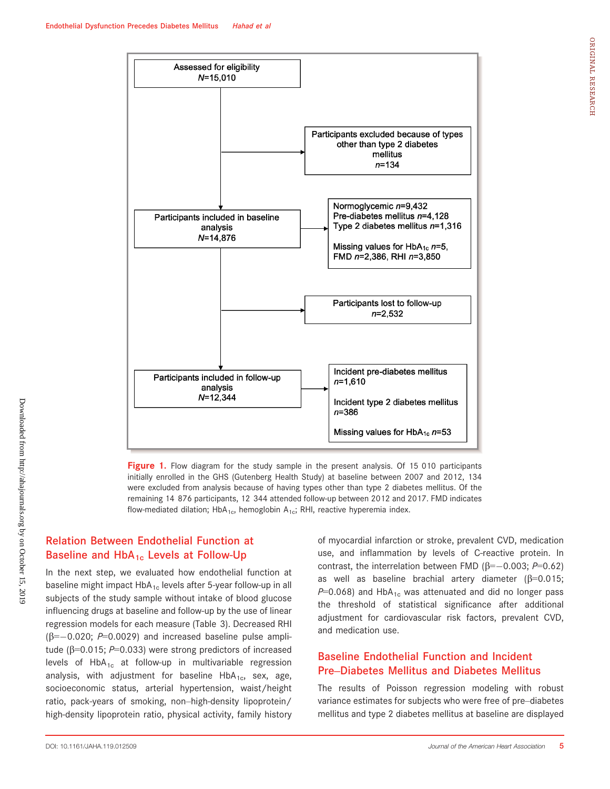

Figure 1. Flow diagram for the study sample in the present analysis. Of 15 010 participants initially enrolled in the GHS (Gutenberg Health Study) at baseline between 2007 and 2012, 134 were excluded from analysis because of having types other than type 2 diabetes mellitus. Of the remaining 14 876 participants, 12 344 attended follow-up between 2012 and 2017. FMD indicates flow-mediated dilation; HbA<sub>1c</sub>, hemoglobin A<sub>1c</sub>; RHI, reactive hyperemia index.

# Relation Between Endothelial Function at Baseline and  $HbA_{1c}$  Levels at Follow-Up

In the next step, we evaluated how endothelial function at baseline might impact  $HbA_{1c}$  levels after 5-year follow-up in all subjects of the study sample without intake of blood glucose influencing drugs at baseline and follow-up by the use of linear regression models for each measure (Table 3). Decreased RHI  $(\beta=-0.020; P=0.0029)$  and increased baseline pulse amplitude ( $\beta$ =0.015; P=0.033) were strong predictors of increased levels of  $HbA_{1c}$  at follow-up in multivariable regression analysis, with adjustment for baseline  $HbA_{1c}$ , sex, age, socioeconomic status, arterial hypertension, waist/height ratio, pack-years of smoking, non–high-density lipoprotein/ high-density lipoprotein ratio, physical activity, family history of myocardial infarction or stroke, prevalent CVD, medication use, and inflammation by levels of C-reactive protein. In contrast, the interrelation between FMD ( $\beta = -0.003$ ; P=0.62) as well as baseline brachial artery diameter ( $\beta$ =0.015;  $P=0.068$ ) and HbA<sub>1c</sub> was attenuated and did no longer pass the threshold of statistical significance after additional adjustment for cardiovascular risk factors, prevalent CVD, and medication use.

# Baseline Endothelial Function and Incident Pre–Diabetes Mellitus and Diabetes Mellitus

The results of Poisson regression modeling with robust variance estimates for subjects who were free of pre–diabetes mellitus and type 2 diabetes mellitus at baseline are displayed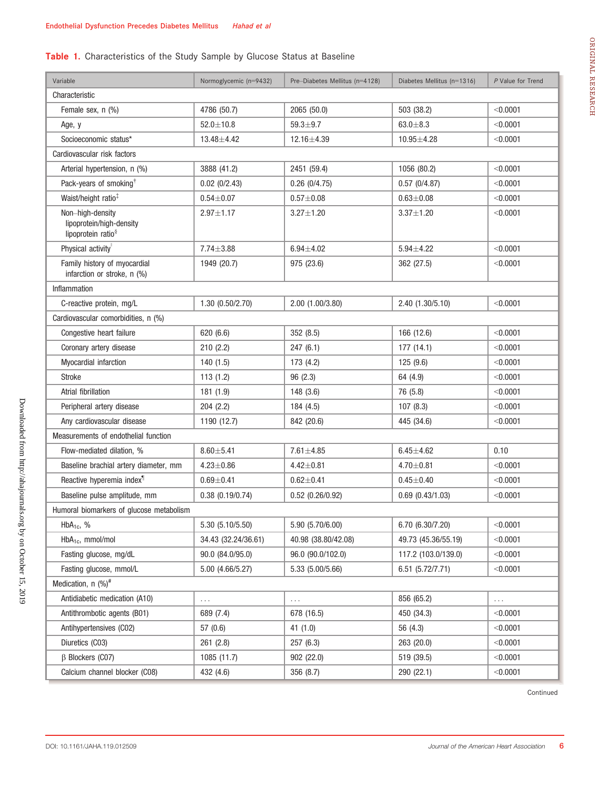# Table 1. Characteristics of the Study Sample by Glucose Status at Baseline

| Variable                                                                       | Normoglycemic (n=9432)    | Pre-Diabetes Mellitus (n=4128) | Diabetes Mellitus (n=1316) | P Value for Trend |  |  |  |  |  |
|--------------------------------------------------------------------------------|---------------------------|--------------------------------|----------------------------|-------------------|--|--|--|--|--|
| Characteristic                                                                 |                           |                                |                            |                   |  |  |  |  |  |
| Female sex, n (%)                                                              | 4786 (50.7)               | 2065 (50.0)                    | 503 (38.2)                 | < 0.0001          |  |  |  |  |  |
| Age, y                                                                         | $52.0 \pm 10.8$           | $59.3 + 9.7$                   | $63.0 \pm 8.3$             | < 0.0001          |  |  |  |  |  |
| Socioeconomic status*                                                          | 13.48 ± 4.42              | 12.16±4.39                     | 10.95±4.28                 | < 0.0001          |  |  |  |  |  |
| Cardiovascular risk factors                                                    |                           |                                |                            |                   |  |  |  |  |  |
| Arterial hypertension, n (%)                                                   | 3888 (41.2)               | 2451 (59.4)                    | 1056 (80.2)                | < 0.0001          |  |  |  |  |  |
| Pack-years of smoking <sup>†</sup>                                             | $0.02$ (0/2.43)           | $0.26$ (0/4.75)                | 0.57(0/4.87)               | < 0.0001          |  |  |  |  |  |
| Waist/height ratio <sup>‡</sup>                                                | $0.54 + 0.07$             | $0.57 + 0.08$                  | $0.63 + 0.08$              | < 0.0001          |  |  |  |  |  |
| Non-high-density<br>lipoprotein/high-density<br>lipoprotein ratio <sup>§</sup> | $2.97 \pm 1.17$           | $3.27 \pm 1.20$                | $3.37 \pm 1.20$            | < 0.0001          |  |  |  |  |  |
| Physical activity                                                              | $7.74 \pm 3.88$           | $6.94 \pm 4.02$                | $5.94 \pm 4.22$            | < 0.0001          |  |  |  |  |  |
| Family history of myocardial<br>infarction or stroke, n (%)                    | 1949 (20.7)               | 975 (23.6)                     | 362 (27.5)                 | < 0.0001          |  |  |  |  |  |
| Inflammation                                                                   |                           |                                |                            |                   |  |  |  |  |  |
| C-reactive protein, mg/L                                                       | 1.30 (0.50/2.70)          | 2.00 (1.00/3.80)               | 2.40 (1.30/5.10)           | < 0.0001          |  |  |  |  |  |
| Cardiovascular comorbidities, n (%)                                            |                           |                                |                            |                   |  |  |  |  |  |
| Congestive heart failure                                                       | 620 (6.6)                 | 352 (8.5)                      | 166 (12.6)                 | < 0.0001          |  |  |  |  |  |
| Coronary artery disease                                                        | 210(2.2)                  | 247(6.1)                       | 177(14.1)                  | < 0.0001          |  |  |  |  |  |
| Myocardial infarction                                                          | 140(1.5)                  | 173 (4.2)                      | 125(9.6)                   | $<$ 0.0001        |  |  |  |  |  |
| <b>Stroke</b>                                                                  | 113(1.2)                  | 96(2.3)                        | 64 (4.9)                   | < 0.0001          |  |  |  |  |  |
| Atrial fibrillation                                                            | 181 (1.9)                 | 148(3.6)                       | 76 (5.8)                   | < 0.0001          |  |  |  |  |  |
| Peripheral artery disease                                                      | 204(2.2)                  | 184 (4.5)                      | 107(8.3)                   | < 0.0001          |  |  |  |  |  |
| Any cardiovascular disease                                                     | 1190 (12.7)<br>842 (20.6) |                                | 445 (34.6)                 | < 0.0001          |  |  |  |  |  |
| Measurements of endothelial function                                           |                           |                                |                            |                   |  |  |  |  |  |
| Flow-mediated dilation, %                                                      | $8.60 + 5.41$             | $7.61 \pm 4.85$                | $6.45 \pm 4.62$            | 0.10              |  |  |  |  |  |
| Baseline brachial artery diameter, mm                                          | $4.23 \pm 0.86$           | $4.42 \pm 0.81$                | $4.70 \pm 0.81$            | < 0.0001          |  |  |  |  |  |
| Reactive hyperemia index <sup>1</sup>                                          | $0.69 + 0.41$             | $0.62 \pm 0.41$                | $0.45 + 0.40$              | < 0.0001          |  |  |  |  |  |
| Baseline pulse amplitude, mm                                                   | 0.38(0.19/0.74)           | 0.52(0.26/0.92)                | $0.69$ $(0.43/1.03)$       | < 0.0001          |  |  |  |  |  |
| Humoral biomarkers of glucose metabolism                                       |                           |                                |                            |                   |  |  |  |  |  |
| $HbA_{1c}$ , %                                                                 | 5.30 (5.10/5.50)          | 5.90 (5.70/6.00)               | 6.70 (6.30/7.20)           | < 0.0001          |  |  |  |  |  |
| HbA <sub>1c</sub> , mmol/mol                                                   | 34.43 (32.24/36.61)       | 40.98 (38.80/42.08)            | 49.73 (45.36/55.19)        | < 0.0001          |  |  |  |  |  |
| Fasting glucose, mg/dL                                                         | 90.0 (84.0/95.0)          | 96.0 (90.0/102.0)              | 117.2 (103.0/139.0)        | < 0.0001          |  |  |  |  |  |
| Fasting glucose, mmol/L                                                        | 5.00 (4.66/5.27)          | 5.33 (5.00/5.66)               | 6.51 (5.72/7.71)           | < 0.0001          |  |  |  |  |  |
| Medication, $n$ (%) <sup>#</sup>                                               |                           |                                |                            |                   |  |  |  |  |  |
| Antidiabetic medication (A10)                                                  | .                         | .                              | 856 (65.2)                 | $\cdots$          |  |  |  |  |  |
| Antithrombotic agents (B01)                                                    | 689 (7.4)                 | 678 (16.5)                     | 450 (34.3)                 | < 0.0001          |  |  |  |  |  |
| Antihypertensives (C02)                                                        | 57 (0.6)                  | 41 (1.0)                       | 56 (4.3)                   | < 0.0001          |  |  |  |  |  |
| Diuretics (C03)                                                                | 261 (2.8)                 | 257 (6.3)                      | 263 (20.0)                 | < 0.0001          |  |  |  |  |  |
| $\beta$ Blockers (CO7)                                                         | 1085 (11.7)               | 902 (22.0)                     | 519 (39.5)                 | < 0.0001          |  |  |  |  |  |
| Calcium channel blocker (C08)                                                  | 432 (4.6)                 | 356 (8.7)                      | 290 (22.1)                 | < 0.0001          |  |  |  |  |  |

Continued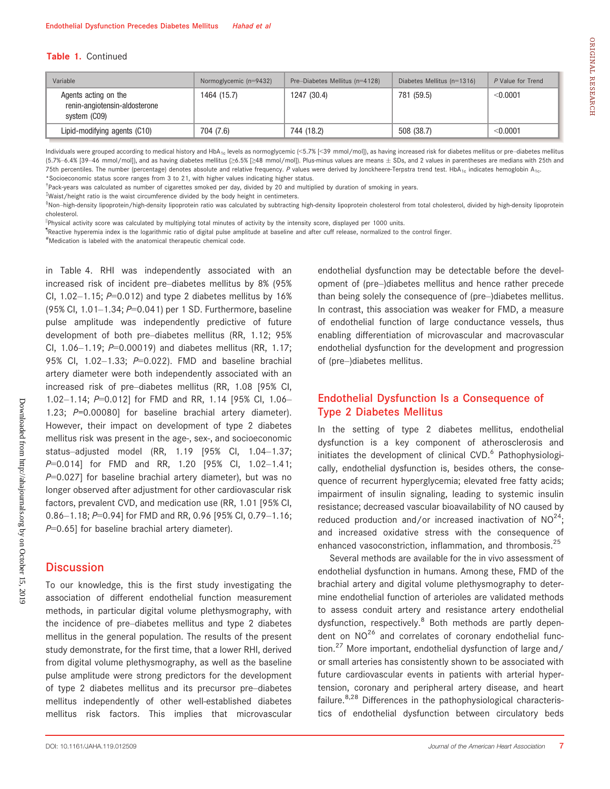#### Table 1. Continued

| Variable                                                              | Normoglycemic (n=9432) | Pre-Diabetes Mellitus (n=4128) | Diabetes Mellitus $(n=1316)$ | P Value for Trend |
|-----------------------------------------------------------------------|------------------------|--------------------------------|------------------------------|-------------------|
| Agents acting on the<br>renin-angiotensin-aldosterone<br>system (CO9) | 1464 (15.7)            | 1247 (30.4)                    | 781 (59.5)                   | < 0.0001          |
| Lipid-modifying agents (C10)                                          | 704 (7.6)              | 744 (18.2)                     | 508 (38.7)                   | < 0.0001          |

Individuals were grouped according to medical history and HbA<sub>1c</sub> levels as normoglycemic (<5.7% [<39 mmol/mol]), as having increased risk for diabetes mellitus or pre-diabetes mellitus (5.7%–6.4% [39–46 mmol/mol]), and as having diabetes mellitus (≥6.5% [≥48 mmol/mol]). Plus-minus values are means ± SDs, and 2 values in parentheses are medians with 25th and 75th percentiles. The number (percentage) denotes absolute and relative frequency. P values were derived by Jonckheere-Terpstra trend test. HbA<sub>1c</sub> indicates hemoglobin A<sub>1c</sub>. \*Socioeconomic status score ranges from 3 to 21, with higher values indicating higher status.

† Pack-years was calculated as number of cigarettes smoked per day, divided by 20 and multiplied by duration of smoking in years.

‡ Waist/height ratio is the waist circumference divided by the body height in centimeters.

§ Non–high-density lipoprotein/high-density lipoprotein ratio was calculated by subtracting high-density lipoprotein cholesterol from total cholesterol, divided by high-density lipoprotein cholesterol.

||Physical activity score was calculated by multiplying total minutes of activity by the intensity score, displayed per 1000 units.

<sup>1</sup>Reactive hyperemia index is the logarithmic ratio of digital pulse amplitude at baseline and after cuff release, normalized to the control finger.

# Medication is labeled with the anatomical therapeutic chemical code.

in Table 4. RHI was independently associated with an increased risk of incident pre–diabetes mellitus by 8% (95% Cl,  $1.02-1.15$ ;  $P=0.012$ ) and type 2 diabetes mellitus by 16% (95% CI, 1.01–1.34; P=0.041) per 1 SD. Furthermore, baseline pulse amplitude was independently predictive of future development of both pre–diabetes mellitus (RR, 1.12; 95% CI,  $1.06-1.19$ ;  $P=0.00019$ ) and diabetes mellitus (RR, 1.17; 95% Cl, 1.02-1.33; P=0.022). FMD and baseline brachial artery diameter were both independently associated with an increased risk of pre–diabetes mellitus (RR, 1.08 [95% CI, 1.02–1.14; P=0.012] for FMD and RR, 1.14 [95% CI, 1.06– 1.23; P=0.00080] for baseline brachial artery diameter). However, their impact on development of type 2 diabetes mellitus risk was present in the age-, sex-, and socioeconomic status–adjusted model (RR, 1.19 [95% CI, 1.04–1.37; P=0.014] for FMD and RR, 1.20 [95% CI, 1.02-1.41;  $P=0.027$ ] for baseline brachial artery diameter), but was no longer observed after adjustment for other cardiovascular risk factors, prevalent CVD, and medication use (RR, 1.01 [95% CI, 0.86-1.18; P=0.94] for FMD and RR, 0.96 [95% Cl, 0.79-1.16;  $P=0.65$ ] for baseline brachial artery diameter).

### **Discussion**

To our knowledge, this is the first study investigating the association of different endothelial function measurement methods, in particular digital volume plethysmography, with the incidence of pre–diabetes mellitus and type 2 diabetes mellitus in the general population. The results of the present study demonstrate, for the first time, that a lower RHI, derived from digital volume plethysmography, as well as the baseline pulse amplitude were strong predictors for the development of type 2 diabetes mellitus and its precursor pre–diabetes mellitus independently of other well-established diabetes mellitus risk factors. This implies that microvascular endothelial dysfunction may be detectable before the development of (pre–)diabetes mellitus and hence rather precede than being solely the consequence of (pre–)diabetes mellitus. In contrast, this association was weaker for FMD, a measure of endothelial function of large conductance vessels, thus enabling differentiation of microvascular and macrovascular endothelial dysfunction for the development and progression of (pre–)diabetes mellitus.

# Endothelial Dysfunction Is a Consequence of Type 2 Diabetes Mellitus

In the setting of type 2 diabetes mellitus, endothelial dysfunction is a key component of atherosclerosis and initiates the development of clinical CVD.<sup>6</sup> Pathophysiologically, endothelial dysfunction is, besides others, the consequence of recurrent hyperglycemia; elevated free fatty acids; impairment of insulin signaling, leading to systemic insulin resistance; decreased vascular bioavailability of NO caused by reduced production and/or increased inactivation of  $NO^{24}$ ; and increased oxidative stress with the consequence of enhanced vasoconstriction, inflammation, and thrombosis.<sup>25</sup>

Several methods are available for the in vivo assessment of endothelial dysfunction in humans. Among these, FMD of the brachial artery and digital volume plethysmography to determine endothelial function of arterioles are validated methods to assess conduit artery and resistance artery endothelial dysfunction, respectively.<sup>8</sup> Both methods are partly dependent on  $NO^{26}$  and correlates of coronary endothelial function.<sup>27</sup> More important, endothelial dysfunction of large and/ or small arteries has consistently shown to be associated with future cardiovascular events in patients with arterial hypertension, coronary and peripheral artery disease, and heart failure. $8,28$  Differences in the pathophysiological characteristics of endothelial dysfunction between circulatory beds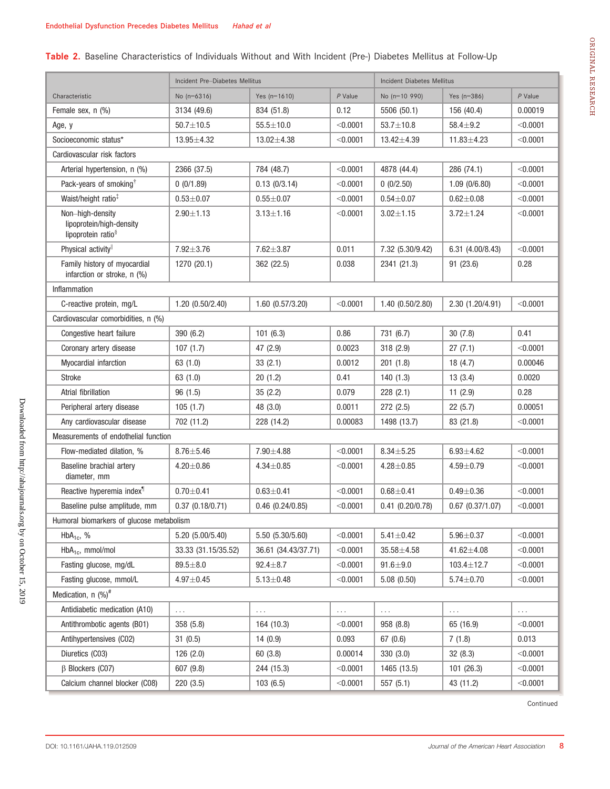# Table 2. Baseline Characteristics of Individuals Without and With Incident (Pre-) Diabetes Mellitus at Follow-Up

|                                                                                | Incident Pre-Diabetes Mellitus |                      |           | <b>Incident Diabetes Mellitus</b> |                      |           |  |  |  |  |
|--------------------------------------------------------------------------------|--------------------------------|----------------------|-----------|-----------------------------------|----------------------|-----------|--|--|--|--|
| Characteristic                                                                 | No $(n=6316)$                  | Yes $(n=1610)$       | $P$ Value | No (n=10 990)                     | Yes $(n=386)$        | $P$ Value |  |  |  |  |
| Female sex, n (%)                                                              | 3134 (49.6)                    | 834 (51.8)           | 0.12      | 5506 (50.1)                       | 156 (40.4)           | 0.00019   |  |  |  |  |
| Age, y                                                                         | $50.7 \pm 10.5$                | $55.5 \pm 10.0$      | < 0.0001  | $53.7 \pm 10.8$                   | $58.4 + 9.2$         | < 0.0001  |  |  |  |  |
| Socioeconomic status*                                                          | $13.95 \pm 4.32$               | $13.02 \pm 4.38$     | < 0.0001  | $13.42 \pm 4.39$                  | $11.83 \pm 4.23$     | < 0.0001  |  |  |  |  |
| Cardiovascular risk factors                                                    |                                |                      |           |                                   |                      |           |  |  |  |  |
| Arterial hypertension, n (%)                                                   | 2366 (37.5)                    | 784 (48.7)           | < 0.0001  | 4878 (44.4)                       | 286 (74.1)           | < 0.0001  |  |  |  |  |
| Pack-years of smoking <sup>†</sup>                                             | 0(0/1.89)                      | 0.13(0/3.14)         | < 0.0001  | 0(0/2.50)                         | 1.09(0/6.80)         | < 0.0001  |  |  |  |  |
| Waist/height ratio <sup>‡</sup>                                                | $0.53 + 0.07$                  | $0.55 + 0.07$        | < 0.0001  | $0.54 + 0.07$                     | $0.62 + 0.08$        | < 0.0001  |  |  |  |  |
| Non-high-density<br>lipoprotein/high-density<br>lipoprotein ratio <sup>§</sup> | $2.90 + 1.13$                  | $3.13 \pm 1.16$      | < 0.0001  | $3.02 \pm 1.15$                   | $3.72 \pm 1.24$      | < 0.0001  |  |  |  |  |
| Physical activity                                                              | $7.92 \pm 3.76$                | $7.62 \pm 3.87$      | 0.011     | 7.32 (5.30/9.42)                  | 6.31 (4.00/8.43)     | < 0.0001  |  |  |  |  |
| Family history of myocardial<br>infarction or stroke, n (%)                    | 1270 (20.1)                    | 362 (22.5)           | 0.038     | 2341 (21.3)                       | 91 (23.6)            | 0.28      |  |  |  |  |
| Inflammation                                                                   |                                |                      |           |                                   |                      |           |  |  |  |  |
| C-reactive protein, mg/L                                                       | 1.20(0.50/2.40)                | $1.60$ $(0.57/3.20)$ | < 0.0001  | 1.40 (0.50/2.80)                  | 2.30 (1.20/4.91)     | < 0.0001  |  |  |  |  |
| Cardiovascular comorbidities, n (%)                                            |                                |                      |           |                                   |                      |           |  |  |  |  |
| Congestive heart failure                                                       | 390 (6.2)                      | 101(6.3)             | 0.86      | 731 (6.7)                         | 30(7.8)              | 0.41      |  |  |  |  |
| Coronary artery disease                                                        | 107(1.7)                       | 47 (2.9)             | 0.0023    | 318 (2.9)                         | 27(7.1)              | < 0.0001  |  |  |  |  |
| Myocardial infarction                                                          | 63(1.0)                        | 33(2.1)              | 0.0012    | 201(1.8)                          | 18(4.7)              | 0.00046   |  |  |  |  |
| <b>Stroke</b>                                                                  | 63 (1.0)                       | 20(1.2)              | 0.41      | 140(1.3)                          | 13(3.4)              | 0.0020    |  |  |  |  |
| Atrial fibrillation                                                            | 96(1.5)                        | 35(2.2)              | 0.079     | 228(2.1)                          | 11(2.9)              | 0.28      |  |  |  |  |
| Peripheral artery disease                                                      | 105(1.7)                       | 48 (3.0)             | 0.0011    | 272 (2.5)                         | 22(5.7)              | 0.00051   |  |  |  |  |
| Any cardiovascular disease                                                     | 702 (11.2)                     | 228 (14.2)           | 0.00083   | 1498 (13.7)                       | 83 (21.8)            | < 0.0001  |  |  |  |  |
| Measurements of endothelial function                                           |                                |                      |           |                                   |                      |           |  |  |  |  |
| Flow-mediated dilation, %                                                      | $8.76 \pm 5.46$                | $7.90 \pm 4.88$      | < 0.0001  | $8.34 + 5.25$                     | $6.93 + 4.62$        | < 0.0001  |  |  |  |  |
| Baseline brachial artery<br>diameter, mm                                       | $4.20 \pm 0.86$                | $4.34 \pm 0.85$      | < 0.0001  | $4.28 \pm 0.85$                   | $4.59 + 0.79$        | < 0.0001  |  |  |  |  |
| Reactive hyperemia index <sup>1</sup>                                          | $0.70 + 0.41$                  | $0.63 + 0.41$        | < 0.0001  | $0.68 + 0.41$                     | $0.49 + 0.36$        | < 0.0001  |  |  |  |  |
| Baseline pulse amplitude, mm                                                   | 0.37(0.18/0.71)                | $0.46$ $(0.24/0.85)$ | < 0.0001  | $0.41$ $(0.20/0.78)$              | $0.67$ $(0.37/1.07)$ | < 0.0001  |  |  |  |  |
| Humoral biomarkers of glucose metabolism                                       |                                |                      |           |                                   |                      |           |  |  |  |  |
| $HbA_{1c}$ , %                                                                 | 5.20 (5.00/5.40)               | 5.50 (5.30/5.60)     | < 0.0001  | $5.41 \pm 0.42$                   | $5.96 \pm 0.37$      | < 0.0001  |  |  |  |  |
| $HbA_{1c}$ , mmol/mol                                                          | 33.33 (31.15/35.52)            | 36.61 (34.43/37.71)  | < 0.0001  | $35.58 \pm 4.58$                  | 41.62±4.08           | < 0.0001  |  |  |  |  |
| Fasting glucose, mg/dL                                                         | $89.5 + 8.0$                   | $92.4 \pm 8.7$       | < 0.0001  | $91.6 + 9.0$                      | 103.4±12.7           | < 0.0001  |  |  |  |  |
| Fasting glucose, mmol/L                                                        | $4.97 + 0.45$                  | $5.13 \pm 0.48$      | < 0.0001  | 5.08(0.50)                        | $5.74 + 0.70$        | < 0.0001  |  |  |  |  |
| Medication, $n$ (%) <sup>#</sup>                                               |                                |                      |           |                                   |                      |           |  |  |  |  |
| Antidiabetic medication (A10)                                                  | $\cdots$                       | .                    | $\cdots$  | $\cdots$                          | .                    | $\cdots$  |  |  |  |  |
| Antithrombotic agents (B01)                                                    | 358 (5.8)                      | 164 (10.3)           | < 0.0001  | 958 (8.8)                         | 65 (16.9)            | < 0.0001  |  |  |  |  |
| Antihypertensives (C02)                                                        | 31(0.5)                        | 14(0.9)              | 0.093     | 67(0.6)                           | 7(1.8)               | 0.013     |  |  |  |  |
| Diuretics (C03)                                                                | 126(2.0)                       | 60 (3.8)             | 0.00014   | 330 (3.0)                         | 32(8.3)              | < 0.0001  |  |  |  |  |
| $\beta$ Blockers (CO7)                                                         | 607 (9.8)                      | 244 (15.3)           | < 0.0001  | 1465 (13.5)                       | 101 (26.3)           | < 0.0001  |  |  |  |  |
| Calcium channel blocker (C08)                                                  | 220(3.5)                       | 103(6.5)             | < 0.0001  | 557 (5.1)                         | 43 (11.2)            | < 0.0001  |  |  |  |  |

Continued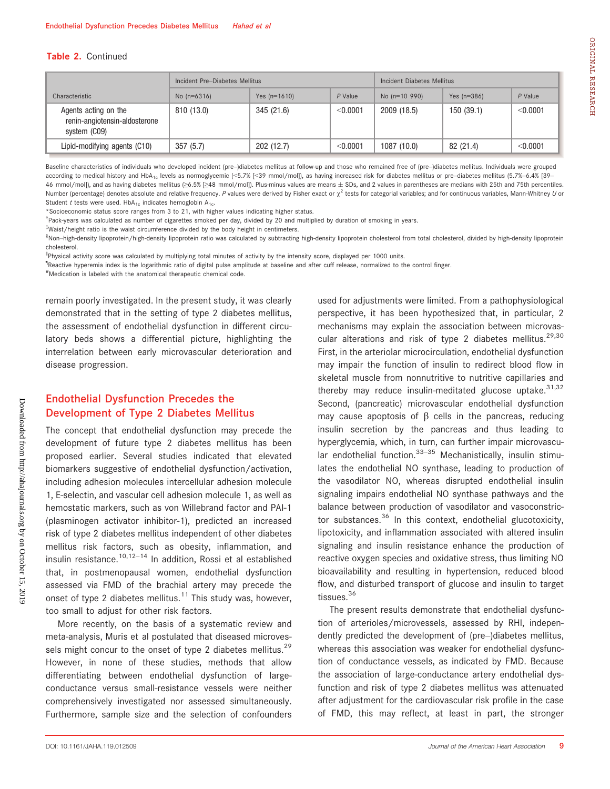#### Table 2. Continued

|                                                                       | Incident Pre-Diabetes Mellitus |                |            | Incident Diabetes Mellitus |               |           |  |
|-----------------------------------------------------------------------|--------------------------------|----------------|------------|----------------------------|---------------|-----------|--|
| Characteristic                                                        | No $(n=6316)$                  | Yes $(n=1610)$ | $P$ Value  | No $(n=10, 990)$           | Yes $(n=386)$ | $P$ Value |  |
| Agents acting on the<br>renin-angiotensin-aldosterone<br>system (CO9) | 810 (13.0)                     | 345 (21.6)     | $<$ 0.0001 | 2009 (18.5)                | 150(39.1)     | < 0.0001  |  |
| Lipid-modifying agents (C10)                                          | 357(5.7)                       | 202(12.7)      | $<$ 0.0001 | 1087(10.0)                 | 82 (21.4)     | < 0.0001  |  |

Baseline characteristics of individuals who developed incident (pre-)diabetes mellitus at follow-up and those who remained free of (pre-)diabetes mellitus. Individuals were grouped according to medical history and HbA<sub>1c</sub> levels as normoglycemic (<5.7% [<39 mmol/mol]), as having increased risk for diabetes mellitus or pre-diabetes mellitus (5.7%-6.4% [39-46 mmol/mol]), and as having diabetes mellitus (≥6.5% [≥48 mmol/mol]). Plus-minus values are means SDs, and 2 values in parentheses are medians with 25th and 75th percentiles. Number (percentage) denotes absolute and relative frequency. P values were derived by Fisher exact or  $\chi^2$  tests for categorial variables; and for continuous variables, Mann-Whitney U or Student t tests were used.  $HbA_{1c}$  indicates hemoglobin  $A_{1c}$ .

\*Socioeconomic status score ranges from 3 to 21, with higher values indicating higher status.

† Pack-years was calculated as number of cigarettes smoked per day, divided by 20 and multiplied by duration of smoking in years.

‡ Waist/height ratio is the waist circumference divided by the body height in centimeters.

®Non–high-density lipoprotein/high-density lipoprotein ratio was calculated by subtracting high-density lipoprotein cholesterol from total cholesterol, divided by high-density lipoprotein cholesterol.

‖ Physical activity score was calculated by multiplying total minutes of activity by the intensity score, displayed per 1000 units.

¶ Reactive hyperemia index is the logarithmic ratio of digital pulse amplitude at baseline and after cuff release, normalized to the control finger.

# Medication is labeled with the anatomical therapeutic chemical code.

remain poorly investigated. In the present study, it was clearly demonstrated that in the setting of type 2 diabetes mellitus, the assessment of endothelial dysfunction in different circulatory beds shows a differential picture, highlighting the interrelation between early microvascular deterioration and disease progression.

# Endothelial Dysfunction Precedes the Development of Type 2 Diabetes Mellitus

The concept that endothelial dysfunction may precede the development of future type 2 diabetes mellitus has been proposed earlier. Several studies indicated that elevated biomarkers suggestive of endothelial dysfunction/activation, including adhesion molecules intercellular adhesion molecule 1, E-selectin, and vascular cell adhesion molecule 1, as well as hemostatic markers, such as von Willebrand factor and PAI-1 (plasminogen activator inhibitor-1), predicted an increased risk of type 2 diabetes mellitus independent of other diabetes mellitus risk factors, such as obesity, inflammation, and insulin resistance.<sup>10,12–14</sup> In addition, Rossi et al established that, in postmenopausal women, endothelial dysfunction assessed via FMD of the brachial artery may precede the onset of type 2 diabetes mellitus.<sup>11</sup> This study was, however, too small to adjust for other risk factors.

More recently, on the basis of a systematic review and meta-analysis, Muris et al postulated that diseased microvessels might concur to the onset of type 2 diabetes mellitus.<sup>29</sup> However, in none of these studies, methods that allow differentiating between endothelial dysfunction of largeconductance versus small-resistance vessels were neither comprehensively investigated nor assessed simultaneously. Furthermore, sample size and the selection of confounders used for adjustments were limited. From a pathophysiological perspective, it has been hypothesized that, in particular, 2 mechanisms may explain the association between microvascular alterations and risk of type 2 diabetes mellitus.<sup>29,30</sup> First, in the arteriolar microcirculation, endothelial dysfunction may impair the function of insulin to redirect blood flow in skeletal muscle from nonnutritive to nutritive capillaries and thereby may reduce insulin-meditated glucose uptake.  $31,32$ Second, (pancreatic) microvascular endothelial dysfunction may cause apoptosis of  $\beta$  cells in the pancreas, reducing insulin secretion by the pancreas and thus leading to hyperglycemia, which, in turn, can further impair microvascular endothelial function. $33-35$  Mechanistically, insulin stimulates the endothelial NO synthase, leading to production of the vasodilator NO, whereas disrupted endothelial insulin signaling impairs endothelial NO synthase pathways and the balance between production of vasodilator and vasoconstrictor substances. $36$  In this context, endothelial glucotoxicity, lipotoxicity, and inflammation associated with altered insulin signaling and insulin resistance enhance the production of reactive oxygen species and oxidative stress, thus limiting NO bioavailability and resulting in hypertension, reduced blood flow, and disturbed transport of glucose and insulin to target tissues.<sup>36</sup>

The present results demonstrate that endothelial dysfunction of arterioles/microvessels, assessed by RHI, independently predicted the development of (pre–)diabetes mellitus, whereas this association was weaker for endothelial dysfunction of conductance vessels, as indicated by FMD. Because the association of large-conductance artery endothelial dysfunction and risk of type 2 diabetes mellitus was attenuated after adjustment for the cardiovascular risk profile in the case of FMD, this may reflect, at least in part, the stronger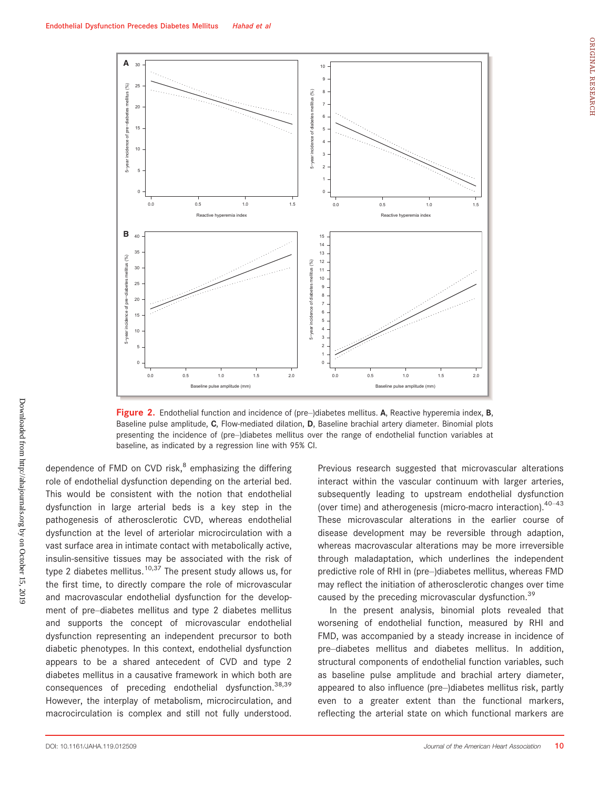

Figure 2. Endothelial function and incidence of (pre-)diabetes mellitus. A, Reactive hyperemia index, B, Baseline pulse amplitude, C, Flow-mediated dilation, D, Baseline brachial artery diameter. Binomial plots presenting the incidence of (pre–)diabetes mellitus over the range of endothelial function variables at baseline, as indicated by a regression line with 95% CI.

dependence of FMD on CVD risk, $<sup>8</sup>$  emphasizing the differing</sup> role of endothelial dysfunction depending on the arterial bed. This would be consistent with the notion that endothelial dysfunction in large arterial beds is a key step in the pathogenesis of atherosclerotic CVD, whereas endothelial dysfunction at the level of arteriolar microcirculation with a vast surface area in intimate contact with metabolically active, insulin-sensitive tissues may be associated with the risk of type 2 diabetes mellitus.<sup>10,37</sup> The present study allows us, for the first time, to directly compare the role of microvascular and macrovascular endothelial dysfunction for the development of pre–diabetes mellitus and type 2 diabetes mellitus and supports the concept of microvascular endothelial dysfunction representing an independent precursor to both diabetic phenotypes. In this context, endothelial dysfunction appears to be a shared antecedent of CVD and type 2 diabetes mellitus in a causative framework in which both are consequences of preceding endothelial dysfunction.38,39 However, the interplay of metabolism, microcirculation, and macrocirculation is complex and still not fully understood. Previous research suggested that microvascular alterations interact within the vascular continuum with larger arteries, subsequently leading to upstream endothelial dysfunction (over time) and atherogenesis (micro-macro interaction). $40-43$ These microvascular alterations in the earlier course of disease development may be reversible through adaption, whereas macrovascular alterations may be more irreversible through maladaptation, which underlines the independent predictive role of RHI in (pre–)diabetes mellitus, whereas FMD may reflect the initiation of atherosclerotic changes over time caused by the preceding microvascular dysfunction.<sup>39</sup>

In the present analysis, binomial plots revealed that worsening of endothelial function, measured by RHI and FMD, was accompanied by a steady increase in incidence of pre–diabetes mellitus and diabetes mellitus. In addition, structural components of endothelial function variables, such as baseline pulse amplitude and brachial artery diameter, appeared to also influence (pre–)diabetes mellitus risk, partly even to a greater extent than the functional markers, reflecting the arterial state on which functional markers are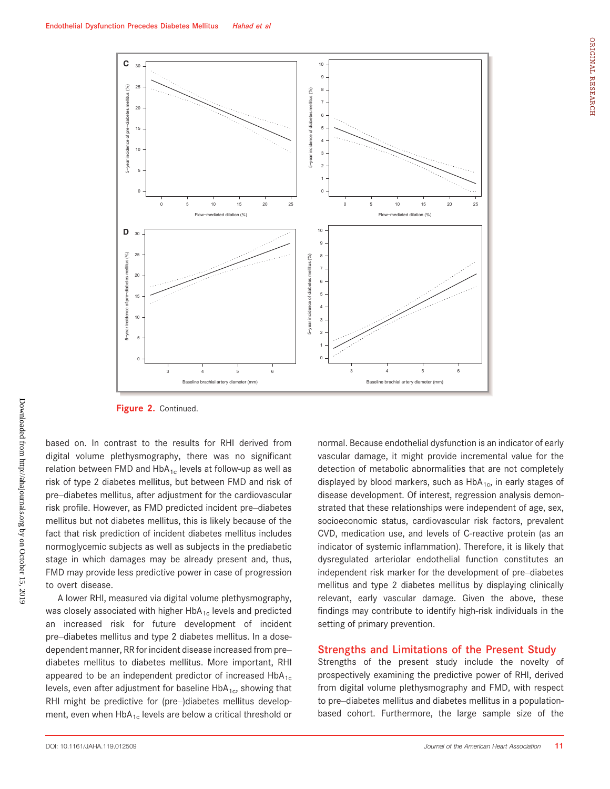



Figure 2. Continued.

based on. In contrast to the results for RHI derived from digital volume plethysmography, there was no significant relation between FMD and  $HbA_{1c}$  levels at follow-up as well as risk of type 2 diabetes mellitus, but between FMD and risk of pre–diabetes mellitus, after adjustment for the cardiovascular risk profile. However, as FMD predicted incident pre–diabetes mellitus but not diabetes mellitus, this is likely because of the fact that risk prediction of incident diabetes mellitus includes normoglycemic subjects as well as subjects in the prediabetic stage in which damages may be already present and, thus, FMD may provide less predictive power in case of progression to overt disease.

A lower RHI, measured via digital volume plethysmography, was closely associated with higher  $HbA_{1c}$  levels and predicted an increased risk for future development of incident pre–diabetes mellitus and type 2 diabetes mellitus. In a dosedependent manner, RR for incident disease increased from pre– diabetes mellitus to diabetes mellitus. More important, RHI appeared to be an independent predictor of increased  $HbA_{1c}$ levels, even after adjustment for baseline  $HbA_{1c}$ , showing that RHI might be predictive for (pre–)diabetes mellitus development, even when  $HbA_{1c}$  levels are below a critical threshold or normal. Because endothelial dysfunction is an indicator of early vascular damage, it might provide incremental value for the detection of metabolic abnormalities that are not completely displayed by blood markers, such as  $HbA_{1c}$ , in early stages of disease development. Of interest, regression analysis demonstrated that these relationships were independent of age, sex, socioeconomic status, cardiovascular risk factors, prevalent CVD, medication use, and levels of C-reactive protein (as an indicator of systemic inflammation). Therefore, it is likely that dysregulated arteriolar endothelial function constitutes an independent risk marker for the development of pre–diabetes mellitus and type 2 diabetes mellitus by displaying clinically relevant, early vascular damage. Given the above, these findings may contribute to identify high-risk individuals in the setting of primary prevention.

#### Strengths and Limitations of the Present Study

Strengths of the present study include the novelty of prospectively examining the predictive power of RHI, derived from digital volume plethysmography and FMD, with respect to pre–diabetes mellitus and diabetes mellitus in a populationbased cohort. Furthermore, the large sample size of the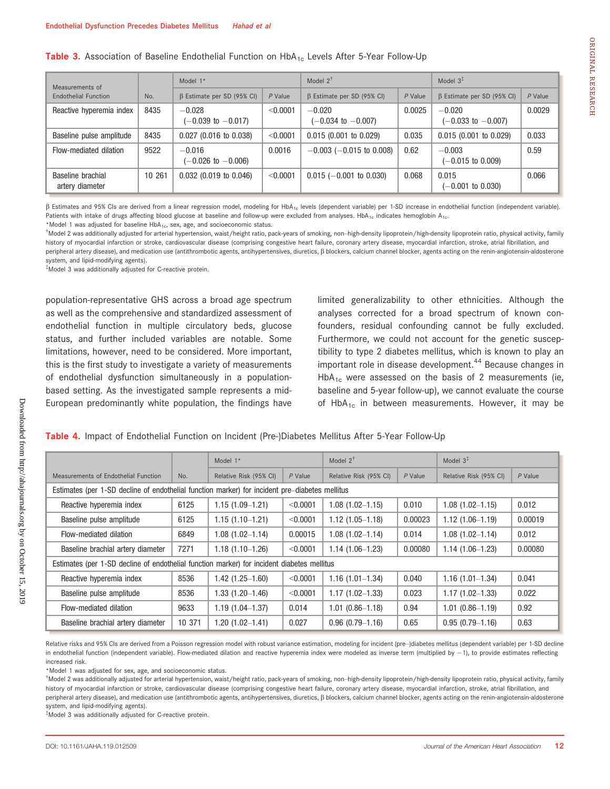| Measurements of                      |        | Model $1*$                                |           | Model $2^{\dagger}$                       |         | Model $3‡$                                |           |
|--------------------------------------|--------|-------------------------------------------|-----------|-------------------------------------------|---------|-------------------------------------------|-----------|
| Endothelial Function                 | No.    | $\beta$ Estimate per SD (95% CI)          | $P$ Value | $\beta$ Estimate per SD (95% CI)          | P Value | $\beta$ Estimate per SD (95% CI)          | $P$ Value |
| Reactive hyperemia index             | 8435   | $-0.028$<br>$(-0.039 \text{ to } -0.017)$ | < 0.0001  | $-0.020$<br>$(-0.034 \text{ to } -0.007)$ | 0.0025  | $-0.020$<br>$(-0.033 \text{ to } -0.007)$ | 0.0029    |
| Baseline pulse amplitude             | 8435   | $0.027$ (0.016 to 0.038)                  | < 0.0001  | $0.015$ (0.001 to 0.029)                  | 0.035   | $0.015$ (0.001 to 0.029)                  | 0.033     |
| Flow-mediated dilation               | 9522   | $-0.016$<br>$(-0.026 \text{ to } -0.006)$ | 0.0016    | $-0.003$ ( $-0.015$ to 0.008)             | 0.62    | $-0.003$<br>(-0.015 to 0.009)             | 0.59      |
| Baseline brachial<br>artery diameter | 10 261 | $0.032$ (0.019 to 0.046)                  | < 0.0001  | $0.015$ (-0.001 to 0.030)                 | 0.068   | 0.015<br>$(-0.001$ to $0.030)$            | 0.066     |

b Estimates and 95% CIs are derived from a linear regression model, modeling for HbA1c levels (dependent variable) per 1-SD increase in endothelial function (independent variable). Patients with intake of drugs affecting blood glucose at baseline and follow-up were excluded from analyses. HbA<sub>1c</sub> indicates hemoglobin A<sub>1c</sub>.

Model 2 was additionally adjusted for arterial hypertension, waist/height ratio, pack-years of smoking, non–high-density lipoprotein/high-density lipoprotein ratio, physical activity, family history of myocardial infarction or stroke, cardiovascular disease (comprising congestive heart failure, coronary artery disease, myocardial infarction, stroke, atrial fibrillation, and peripheral artery disease), and medication use (antithrombotic agents, antihypertensives, diuretics,  $\beta$  blockers, calcium channel blocker, agents acting on the renin-angiotensin-aldosterone system, and lipid-modifying agents).

‡ Model 3 was additionally adjusted for C-reactive protein.

population-representative GHS across a broad age spectrum as well as the comprehensive and standardized assessment of endothelial function in multiple circulatory beds, glucose status, and further included variables are notable. Some limitations, however, need to be considered. More important, this is the first study to investigate a variety of measurements of endothelial dysfunction simultaneously in a populationbased setting. As the investigated sample represents a mid-European predominantly white population, the findings have limited generalizability to other ethnicities. Although the analyses corrected for a broad spectrum of known confounders, residual confounding cannot be fully excluded. Furthermore, we could not account for the genetic susceptibility to type 2 diabetes mellitus, which is known to play an important role in disease development.<sup>44</sup> Because changes in  $HbA_{1c}$  were assessed on the basis of 2 measurements (ie, baseline and 5-year follow-up), we cannot evaluate the course of HbA<sub>1c</sub> in between measurements. However, it may be

#### Table 4. Impact of Endothelial Function on Incident (Pre-)Diabetes Mellitus After 5-Year Follow-Up

|                                                                                                |        | Model 1*               |           | Model $2^{\dagger}$    |           | Model $3^*$            |           |  |
|------------------------------------------------------------------------------------------------|--------|------------------------|-----------|------------------------|-----------|------------------------|-----------|--|
| Measurements of Endothelial Function                                                           | No.    | Relative Risk (95% CI) | $P$ Value | Relative Risk (95% CI) | $P$ Value | Relative Risk (95% CI) | $P$ Value |  |
| Estimates (per 1-SD decline of endothelial function marker) for incident pre-diabetes mellitus |        |                        |           |                        |           |                        |           |  |
| Reactive hyperemia index                                                                       | 6125   | $1.15(1.09 - 1.21)$    | < 0.0001  | $1.08(1.02 - 1.15)$    | 0.010     | $1.08(1.02 - 1.15)$    | 0.012     |  |
| Baseline pulse amplitude                                                                       | 6125   | $1.15(1.10-1.21)$      | < 0.0001  | $1.12(1.05 - 1.18)$    | 0.00023   | $1.12(1.06 - 1.19)$    | 0.00019   |  |
| Flow-mediated dilation                                                                         | 6849   | $1.08(1.02 - 1.14)$    | 0.00015   | $1.08(1.02 - 1.14)$    | 0.014     | $1.08(1.02 - 1.14)$    | 0.012     |  |
| Baseline brachial artery diameter                                                              | 7271   | $1.18(1.10-1.26)$      | < 0.0001  | $1.14(1.06-1.23)$      | 0.00080   | $1.14(1.06-1.23)$      | 0.00080   |  |
| Estimates (per 1-SD decline of endothelial function marker) for incident diabetes mellitus     |        |                        |           |                        |           |                        |           |  |
| Reactive hyperemia index                                                                       | 8536   | $1.42(1.25 - 1.60)$    | < 0.0001  | $1.16(1.01 - 1.34)$    | 0.040     | $1.16(1.01 - 1.34)$    | 0.041     |  |
| Baseline pulse amplitude                                                                       | 8536   | $1.33(1.20 - 1.46)$    | < 0.0001  | $1.17(1.02 - 1.33)$    | 0.023     | $1.17(1.02 - 1.33)$    | 0.022     |  |
| Flow-mediated dilation                                                                         | 9633   | $1.19(1.04 - 1.37)$    | 0.014     | $1.01(0.86 - 1.18)$    | 0.94      | $1.01(0.86 - 1.19)$    | 0.92      |  |
| Baseline brachial artery diameter                                                              | 10 371 | 1.20 (1.02-1.41)       | 0.027     | $0.96(0.79 - 1.16)$    | 0.65      | $0.95(0.79 - 1.16)$    | 0.63      |  |

Relative risks and 95% CIs are derived from a Poisson regression model with robust variance estimation, modeling for incident (pre–)diabetes mellitus (dependent variable) per 1-SD decline in endothelial function (independent variable). Flow-mediated dilation and reactive hyperemia index were modeled as inverse term (multiplied by -1), to provide estimates reflecting increased risk.

\*Model 1 was adjusted for sex, age, and socioeconomic status.

† Model 2 was additionally adjusted for arterial hypertension, waist/height ratio, pack-years of smoking, non–high-density lipoprotein/high-density lipoprotein ratio, physical activity, family history of myocardial infarction or stroke, cardiovascular disease (comprising congestive heart failure, coronary artery disease, myocardial infarction, stroke, atrial fibrillation, and peripheral artery disease), and medication use (antithrombotic agents, antihypertensives, diuretics,  $\beta$  blockers, calcium channel blocker, agents acting on the renin-angiotensin-aldosterone system, and lipid-modifying agents).

‡ Model 3 was additionally adjusted for C-reactive protein.

<sup>\*</sup>Model 1 was adjusted for baseline  $HbA_{1c}$ , sex, age, and socioeconomic status.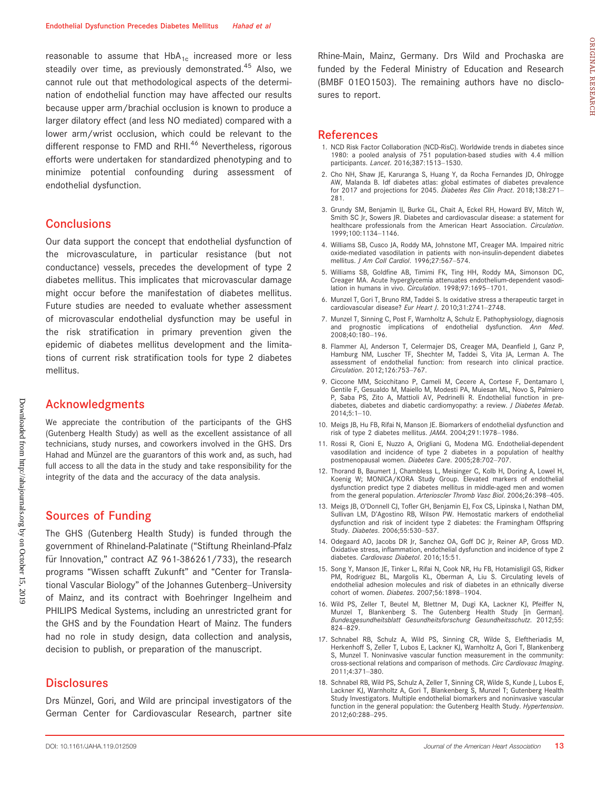reasonable to assume that  $HbA_{1c}$  increased more or less steadily over time, as previously demonstrated.<sup>45</sup> Also, we cannot rule out that methodological aspects of the determination of endothelial function may have affected our results because upper arm/brachial occlusion is known to produce a larger dilatory effect (and less NO mediated) compared with a lower arm/wrist occlusion, which could be relevant to the different response to FMD and RHI.<sup>46</sup> Nevertheless, rigorous efforts were undertaken for standardized phenotyping and to minimize potential confounding during assessment of endothelial dysfunction.

### **Conclusions**

Our data support the concept that endothelial dysfunction of the microvasculature, in particular resistance (but not conductance) vessels, precedes the development of type 2 diabetes mellitus. This implicates that microvascular damage might occur before the manifestation of diabetes mellitus. Future studies are needed to evaluate whether assessment of microvascular endothelial dysfunction may be useful in the risk stratification in primary prevention given the epidemic of diabetes mellitus development and the limitations of current risk stratification tools for type 2 diabetes mellitus.

### Acknowledgments

We appreciate the contribution of the participants of the GHS (Gutenberg Health Study) as well as the excellent assistance of all technicians, study nurses, and coworkers involved in the GHS. Drs Hahad and Münzel are the guarantors of this work and, as such, had full access to all the data in the study and take responsibility for the integrity of the data and the accuracy of the data analysis.

### Sources of Funding

The GHS (Gutenberg Health Study) is funded through the government of Rhineland-Palatinate ("Stiftung Rheinland-Pfalz für Innovation," contract AZ 961-386261/733), the research programs "Wissen schafft Zukunft" and "Center for Translational Vascular Biology" of the Johannes Gutenberg–University of Mainz, and its contract with Boehringer Ingelheim and PHILIPS Medical Systems, including an unrestricted grant for the GHS and by the Foundation Heart of Mainz. The funders had no role in study design, data collection and analysis, decision to publish, or preparation of the manuscript.

#### **Disclosures**

Drs Münzel, Gori, and Wild are principal investigators of the German Center for Cardiovascular Research, partner site Rhine-Main, Mainz, Germany. Drs Wild and Prochaska are funded by the Federal Ministry of Education and Research (BMBF 01EO1503). The remaining authors have no disclosures to report.

### References

- 1. NCD Risk Factor Collaboration (NCD-RisC). Worldwide trends in diabetes since 1980: a pooled analysis of 751 population-based studies with 4.4 million participants. Lancet. 2016;387:1513-1530.
- 2. Cho NH, Shaw JE, Karuranga S, Huang Y, da Rocha Fernandes JD, Ohlrogge AW, Malanda B. Idf diabetes atlas: global estimates of diabetes prevalence for 2017 and projections for 2045. Diabetes Res Clin Pract. 2018;138:271-281.
- 3. Grundy SM, Benjamin IJ, Burke GL, Chait A, Eckel RH, Howard BV, Mitch W, Smith SC Jr, Sowers JR. Diabetes and cardiovascular disease: a statement for healthcare professionals from the American Heart Association. Circulation. 1999;100:1134–1146.
- 4. Williams SB, Cusco JA, Roddy MA, Johnstone MT, Creager MA. Impaired nitric oxide-mediated vasodilation in patients with non-insulin-dependent diabetes mellitus. J Am Coll Cardiol. 1996;27:567–574.
- 5. Williams SB, Goldfine AB, Timimi FK, Ting HH, Roddy MA, Simonson DC, Creager MA. Acute hyperglycemia attenuates endothelium-dependent vasodilation in humans in vivo. Circulation. 1998;97:1695–1701.
- 6. Munzel T, Gori T, Bruno RM, Taddei S. Is oxidative stress a therapeutic target in cardiovascular disease? Eur Heart J. 2010;31:2741-2748.
- 7. Munzel T, Sinning C, Post F, Warnholtz A, Schulz E. Pathophysiology, diagnosis and prognostic implications of endothelial dysfunction. Ann Med. 2008;40:180–196.
- 8. Flammer AJ, Anderson T, Celermajer DS, Creager MA, Deanfield J, Ganz P, Hamburg NM, Luscher TF, Shechter M, Taddei S, Vita JA, Lerman A. The assessment of endothelial function: from research into clinical practice. Circulation. 2012;126:753–767.
- 9. Ciccone MM, Scicchitano P, Cameli M, Cecere A, Cortese F, Dentamaro I, Gentile F, Gesualdo M, Maiello M, Modesti PA, Muiesan ML, Novo S, Palmiero P, Saba PS, Zito A, Mattioli AV, Pedrinelli R. Endothelial function in prediabetes, diabetes and diabetic cardiomyopathy: a review. *J Diabetes Metab*. 2014;5:1–10.
- 10. Meigs JB, Hu FB, Rifai N, Manson JE. Biomarkers of endothelial dysfunction and risk of type 2 diabetes mellitus. JAMA. 2004;291:1978–1986.
- 11. Rossi R, Cioni E, Nuzzo A, Origliani G, Modena MG. Endothelial-dependent vasodilation and incidence of type 2 diabetes in a population of healthy postmenopausal women. Diabetes Care. 2005;28:702–707.
- 12. Thorand B, Baumert J, Chambless L, Meisinger C, Kolb H, Doring A, Lowel H, Koenig W; MONICA/KORA Study Group. Elevated markers of endothelial dysfunction predict type 2 diabetes mellitus in middle-aged men and women from the general population. Arterioscler Thromb Vasc Biol. 2006;26:398-405.
- 13. Meigs JB, O'Donnell CJ, Tofler GH, Benjamin EJ, Fox CS, Lipinska I, Nathan DM, Sullivan LM, D'Agostino RB, Wilson PW. Hemostatic markers of endothelial dysfunction and risk of incident type 2 diabetes: the Framingham Offspring Study. Diabetes. 2006;55:530–537.
- 14. Odegaard AO, Jacobs DR Jr, Sanchez OA, Goff DC Jr, Reiner AP, Gross MD. Oxidative stress, inflammation, endothelial dysfunction and incidence of type 2 diabetes. Cardiovasc Diabetol. 2016;15:51.
- 15. Song Y, Manson JE, Tinker L, Rifai N, Cook NR, Hu FB, Hotamisligil GS, Ridker PM, Rodriguez BL, Margolis KL, Oberman A, Liu S. Circulating levels of endothelial adhesion molecules and risk of diabetes in an ethnically diverse cohort of women. Diabetes. 2007;56:1898–1904.
- 16. Wild PS, Zeller T, Beutel M, Blettner M, Dugi KA, Lackner KJ, Pfeiffer N, Munzel T, Blankenberg S. The Gutenberg Health Study [in German]. Bundesgesundheitsblatt Gesundheitsforschung Gesundheitsschutz. 2012;55: 824–829.
- 17. Schnabel RB, Schulz A, Wild PS, Sinning CR, Wilde S, Eleftheriadis M, Herkenhoff S, Zeller T, Lubos E, Lackner KJ, Warnholtz A, Gori T, Blankenberg S, Munzel T. Noninvasive vascular function measurement in the community: cross-sectional relations and comparison of methods. Circ Cardiovasc Imaging. 2011;4:371–380.
- 18. Schnabel RB, Wild PS, Schulz A, Zeller T, Sinning CR, Wilde S, Kunde J, Lubos E, Lackner KJ, Warnholtz A, Gori T, Blankenberg S, Munzel T; Gutenberg Health Study Investigators. Multiple endothelial biomarkers and noninvasive vascular function in the general population: the Gutenberg Health Study. Hypertension. 2012;60:288–295.